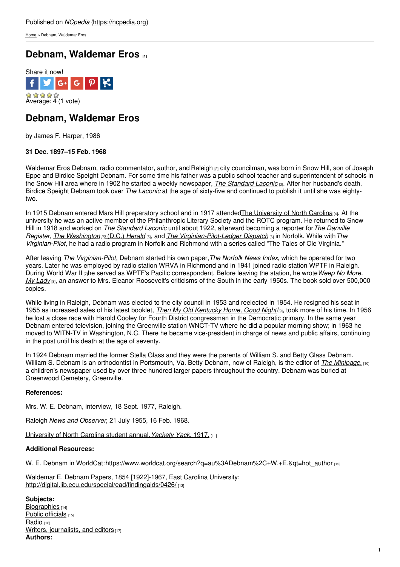[Home](https://ncpedia.org/) > Debnam, Waldemar Eros

# **Debnam, [Waldemar](https://ncpedia.org/biography/debnam-waldemar-eros) Eros [1]**



## **Debnam, Waldemar Eros**

by James F. Harper, 1986

### **31 Dec. 1897–15 Feb. 1968**

Waldemar Eros Debnam, radio commentator, author, and [Raleigh](https://ncpedia.org/geography/raleigh) <sub>[2]</sub> city councilman, was born in Snow Hill, son of Joseph Eppe and Birdice Speight Debnam. For some time his father was a public school teacher and superintendent of schools in the Snow Hill area where in 1902 he started a [weekly](http://www.social9.com) newspaper, *The [Standard](http://chroniclingamerica.loc.gov/lccn/sn92073138/) Laconic* [3]. After her husband's death, Birdice Speight Debnam took over *The Laconic* at the age of sixty-five and continued to publish it until she was eightytwo.

In 1915 Debnam entered Mars Hill preparatory school and in 1917 attended The [University](https://ncpedia.org/university-north-carolina-chapel-hi) of North Carolina [4]. At the university he was an active member of the Philanthropic Literary Society and the ROTC program. He returned to Snow Hill in 1918 and worked on *The Standard Laconic* until about 1922, afterward becoming a reporter for*The Danville Register, The [Washington](http://chroniclingamerica.loc.gov/lccn/sn83045433/) [5]* (D.C.) *[Herald](http://chroniclingamerica.loc.gov/lccn/sn83045433/)* [5], and *The [Virginian-Pilot-Ledger](http://chroniclingamerica.loc.gov/lccn/sn86071779/) Dispatch* [6] in Norfolk. While with*The Virginian-Pilot*, he had a radio program in Norfolk and Richmond with a series called "The Tales of Ole Virginia."

After leaving *The Virginian-Pilot*, Debnam started his own paper,*The Norfolk News Index*, which he operated for two years. Later he was employed by radio station WRVA in Richmond and in 1941 joined radio station WPTF in Raleigh. During [World](https://ncpedia.org/world-war-ii) War II [7]he served as WPTF's Pacific [correspondent.](https://www.worldcat.org/title/weep-no-more-my-lady/oclc/6673764&referer=brief_results) Before leaving the station, he wrote*Weep No More, My Lady* (8), an answer to Mrs. Eleanor Roosevelt's criticisms of the South in the early 1950s. The book sold over 500,000 copies.

While living in Raleigh, Debnam was elected to the city council in 1953 and reelected in 1954. He resigned his seat in 1955 as increased sales of his latest booklet, *Then My Old [Kentucky](https://www.worldcat.org/title/then-my-old-kentucky-home-good-night/oclc/2175647) Home, Good Night!*[9], took more of his time. In 1956 he lost a close race with Harold Cooley for Fourth District congressman in the Democratic primary. In the same year Debnam entered television, joining the Greenville station WNCT-TV where he did a popular morning show; in 1963 he moved to WITN-TV in Washington, N.C. There he became vice-president in charge of news and public affairs, continuing in the post until his death at the age of seventy.

In 1924 Debnam married the former Stella Glass and they were the parents of William S. and Betty Glass Debnam. William S. Debnam is an orthodontist in Portsmouth, Va. Betty Debnam, now of Raleigh, is the editor of *The [Minipage](http://www.lib.unc.edu/dc/minipage/)*, [10] a children's newspaper used by over three hundred larger papers throughout the country. Debnam was buried at Greenwood Cemetery, Greenville.

### **References:**

Mrs. W. E. Debnam, interview, 18 Sept. 1977, Raleigh.

Raleigh *News and Observer*, 21 July 1955, 16 Feb. 1968.

[University](https://archive.org/details/yacketyyackseria1917univ) of North Carolina student annual,*Yackety Yack*, 1917. [11]

### **Additional Resources:**

W. E. Debnam in WorldCat:[https://www.worldcat.org/search?q=au%3ADebnam%2C+W.+E.&qt=hot\\_author](https://www.worldcat.org/search?q=au%3ADebnam%2C+W.+E.&qt=hot_author) [12]

Waldemar E. Debnam Papers, 1854 [1922]-1967, East Carolina University: <http://digital.lib.ecu.edu/special/ead/findingaids/0426/> [13]

**Subjects:** [Biographies](https://ncpedia.org/category/subjects/biography-term) [14] Public [officials](https://ncpedia.org/category/subjects/public-officials) [15] [Radio](https://ncpedia.org/category/subjects/radio) [16] Writers, [journalists,](https://ncpedia.org/category/subjects/writer) and editors [17] **Authors:**